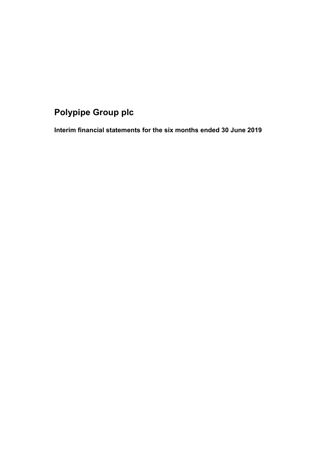# **Polypipe Group plc**

**Interim financial statements for the six months ended 30 June 2019**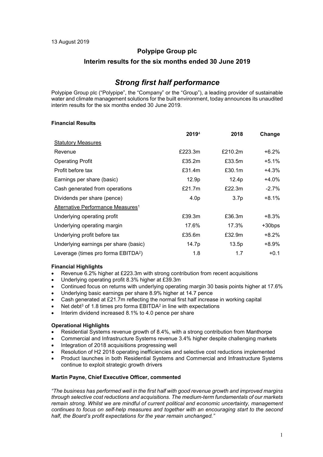### **Polypipe Group plc**

### **Interim results for the six months ended 30 June 2019**

# *Strong first half performance*

Polypipe Group plc ("Polypipe", the "Company" or the "Group"), a leading provider of sustainable water and climate management solutions for the built environment, today announces its unaudited interim results for the six months ended 30 June 2019.

### **Financial Results**

|                                                 | 20194            | 2018             | Change    |
|-------------------------------------------------|------------------|------------------|-----------|
| <b>Statutory Measures</b>                       |                  |                  |           |
| Revenue                                         | £223.3m          | £210.2m          | +6.2%     |
| <b>Operating Profit</b>                         | £35.2m           | £33.5m           | +5.1%     |
| Profit before tax                               | £31.4m           | £30.1m           | +4.3%     |
| Earnings per share (basic)                      | 12.9p            | 12.4p            | +4.0%     |
| Cash generated from operations                  | £21.7 $m$        | £22.3m           | $-2.7\%$  |
| Dividends per share (pence)                     | 4.0 <sub>p</sub> | 3.7 <sub>p</sub> | +8.1%     |
| Alternative Performance Measures <sup>1</sup>   |                  |                  |           |
| Underlying operating profit                     | £39.3m           | £36.3m           | +8.3%     |
| Underlying operating margin                     | 17.6%            | 17.3%            | $+30$ bps |
| Underlying profit before tax                    | £35.6m           | £32.9m           | $+8.2%$   |
| Underlying earnings per share (basic)           | 14.7p            | 13.5p            | +8.9%     |
| Leverage (times pro forma EBITDA <sup>2</sup> ) | 1.8              | 1.7              | $+0.1$    |

### **Financial Highlights**

- Revenue 6.2% higher at £223.3m with strong contribution from recent acquisitions
- Underlying operating profit 8.3% higher at £39.3m
- Continued focus on returns with underlying operating margin 30 basis points higher at 17.6%
- Underlying basic earnings per share 8.9% higher at 14.7 pence
- Cash generated at £21.7m reflecting the normal first half increase in working capital
- Net debt<sup>3</sup> of 1.8 times pro forma EBITDA<sup>2</sup> in line with expectations
- Interim dividend increased 8.1% to 4.0 pence per share

### **Operational Highlights**

- Residential Systems revenue growth of 8.4%, with a strong contribution from Manthorpe
- Commercial and Infrastructure Systems revenue 3.4% higher despite challenging markets
- Integration of 2018 acquisitions progressing well
- Resolution of H2 2018 operating inefficiencies and selective cost reductions implemented
- Product launches in both Residential Systems and Commercial and Infrastructure Systems continue to exploit strategic growth drivers

### **Martin Payne, Chief Executive Officer, commented**

*"The business has performed well in the first half with good revenue growth and improved margins through selective cost reductions and acquisitions. The medium-term fundamentals of our markets remain strong. Whilst we are mindful of current political and economic uncertainty, management continues to focus on self-help measures and together with an encouraging start to the second half, the Board's profit expectations for the year remain unchanged."*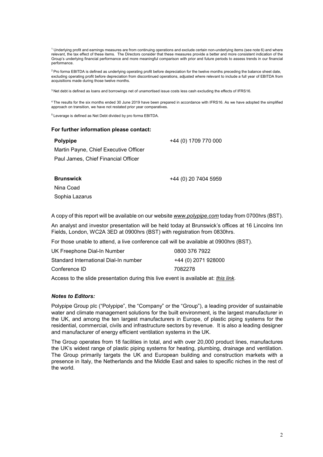<sup>1</sup> Underlying profit and earnings measures are from continuing operations and exclude certain non-underlying items (see note 6) and where relevant, the tax effect of these items. The Directors consider that these measures provide a better and more consistent indication of the Group's underlying financial performance and more meaningful comparison with prior and future periods to assess trends in our financial performance.

<sup>2</sup> Pro forma EBITDA is defined as underlying operating profit before depreciation for the twelve months preceding the balance sheet date, excluding operating profit before depreciation from discontinued operations, adjusted where relevant to include a full year of EBITDA from acquisitions made during those twelve months.

<sup>3</sup> Net debt is defined as loans and borrowings net of unamortised issue costs less cash excluding the effects of IFRS16.

4 The results for the six months ended 30 June 2019 have been prepared in accordance with IFRS16. As we have adopted the simplified approach on transition, we have not restated prior year comparatives.

5 Leverage is defined as Net Debt divided by pro forma EBITDA.

#### **For further information please contact:**

### **Polypipe**

Martin Payne, Chief Executive Officer Paul James, Chief Financial Officer

#### **Brunswick**

+44 (0) 20 7404 5959

+44 (0) 1709 770 000

Nina Coad Sophia Lazarus

A copy of this report will be available on our website *[www.polypipe.com](http://www.polypipe.com/)* today from 0700hrs (BST).

An analyst and investor presentation will be held today at Brunswick's offices at 16 Lincolns Inn Fields, London, WC2A 3ED at 0900hrs (BST) with registration from 0830hrs.

For those unable to attend, a live conference call will be available at 0900hrs (BST).

| UK Freephone Dial-In Number           | 0800 376 7922       |
|---------------------------------------|---------------------|
| Standard International Dial-In number | +44 (0) 2071 928000 |
| Conference ID                         | 7082278             |

Access to the slide presentation during this live event is available at: *[this link.](https://webconnect.webex.com/mw3300/mywebex/default.do?nomenu=true&siteurl=webconnect&service=6&rnd=0.8079859605030565&main_url=https%3A%2F%2Fwebconnect.webex.com%2Fec3300%2Feventcenter%2Fevent%2FeventAction.do%3FtheAction%3Ddetail%26%26%26EMK%3D4832534b00000004fb23b154868c68b7ade7b62dff64b938e6884d1002a47b542b49ed612cf42db3%26siteurl%3Dwebconnect%26confViewID%3D134033616848058604%26encryptTicket%3DSDJTSwAAAAQPjc9cGfOJRG17sKxxJPJtkuDSWR4WXdQsq0oPmXz9vQ2%26)*

### *Notes to Editors:*

Polypipe Group plc ("Polypipe", the "Company" or the "Group"), a leading provider of sustainable water and climate management solutions for the built environment, is the largest manufacturer in the UK, and among the ten largest manufacturers in Europe, of plastic piping systems for the residential, commercial, civils and infrastructure sectors by revenue. It is also a leading designer and manufacturer of energy efficient ventilation systems in the UK.

The Group operates from 18 facilities in total, and with over 20,000 product lines, manufactures the UK's widest range of plastic piping systems for heating, plumbing, drainage and ventilation. The Group primarily targets the UK and European building and construction markets with a presence in Italy, the Netherlands and the Middle East and sales to specific niches in the rest of the world.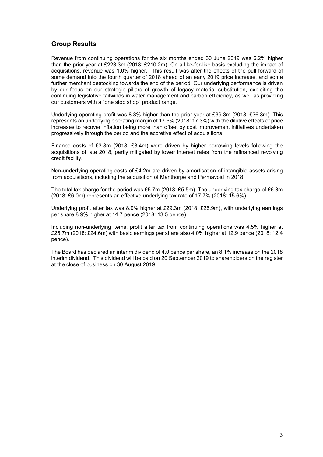## **Group Results**

Revenue from continuing operations for the six months ended 30 June 2019 was 6.2% higher than the prior year at £223.3m (2018: £210.2m). On a like-for-like basis excluding the impact of acquisitions, revenue was 1.0% higher. This result was after the effects of the pull forward of some demand into the fourth quarter of 2018 ahead of an early 2019 price increase, and some further merchant destocking towards the end of the period. Our underlying performance is driven by our focus on our strategic pillars of growth of legacy material substitution, exploiting the continuing legislative tailwinds in water management and carbon efficiency, as well as providing our customers with a "one stop shop" product range.

Underlying operating profit was 8.3% higher than the prior year at £39.3m (2018: £36.3m). This represents an underlying operating margin of 17.6% (2018: 17.3%) with the dilutive effects of price increases to recover inflation being more than offset by cost improvement initiatives undertaken progressively through the period and the accretive effect of acquisitions.

Finance costs of £3.8m (2018: £3.4m) were driven by higher borrowing levels following the acquisitions of late 2018, partly mitigated by lower interest rates from the refinanced revolving credit facility.

Non-underlying operating costs of £4.2m are driven by amortisation of intangible assets arising from acquisitions, including the acquisition of Manthorpe and Permavoid in 2018.

The total tax charge for the period was £5.7m (2018: £5.5m). The underlying tax charge of £6.3m (2018: £6.0m) represents an effective underlying tax rate of 17.7% (2018: 15.6%).

Underlying profit after tax was 8.9% higher at £29.3m (2018: £26.9m), with underlying earnings per share 8.9% higher at 14.7 pence (2018: 13.5 pence).

Including non-underlying items, profit after tax from continuing operations was 4.5% higher at £25.7m (2018: £24.6m) with basic earnings per share also 4.0% higher at 12.9 pence (2018: 12.4 pence).

The Board has declared an interim dividend of 4.0 pence per share, an 8.1% increase on the 2018 interim dividend. This dividend will be paid on 20 September 2019 to shareholders on the register at the close of business on 30 August 2019.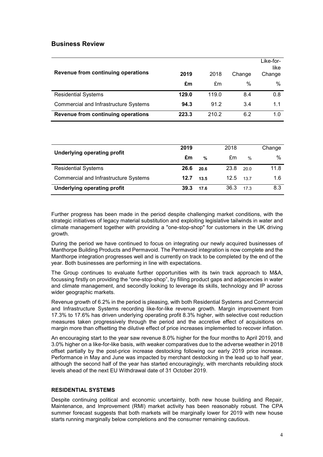## **Business Review**

| Revenue from continuing operations           | 2019  | 2018  | Change | Like-for-<br>like<br>Change |
|----------------------------------------------|-------|-------|--------|-----------------------------|
|                                              | £m    | £m    | $\%$   | %                           |
| <b>Residential Systems</b>                   | 129.0 | 119.0 | 8.4    | 0.8                         |
| <b>Commercial and Infrastructure Systems</b> | 94.3  | 91.2  | 3.4    | 1.1                         |
| Revenue from continuing operations           | 223.3 | 210.2 | 6.2    | 1.0                         |

|                                       | 2019 |               | 2018          |      | Change |
|---------------------------------------|------|---------------|---------------|------|--------|
| <b>Underlying operating profit</b>    | £m   | $\frac{9}{6}$ | £m            | $\%$ | $\%$   |
| <b>Residential Systems</b>            | 26.6 | 20.6          | 23.8          | 20 Q | 11.8   |
| Commercial and Infrastructure Systems | 12.7 | 13.5          | $12.5$ $13.7$ |      | 1.6    |
| <b>Underlying operating profit</b>    | 39.3 | 17.6          | 36.3          | 17.3 | 8.3    |

Further progress has been made in the period despite challenging market conditions, with the strategic initiatives of legacy material substitution and exploiting legislative tailwinds in water and climate management together with providing a "one-stop-shop" for customers in the UK driving growth.

During the period we have continued to focus on integrating our newly acquired businesses of Manthorpe Building Products and Permavoid. The Permavoid integration is now complete and the Manthorpe integration progresses well and is currently on track to be completed by the end of the year. Both businesses are performing in line with expectations.

The Group continues to evaluate further opportunities with its twin track approach to M&A, focussing firstly on providing the "one-stop-shop", by filling product gaps and adjacencies in water and climate management, and secondly looking to leverage its skills, technology and IP across wider geographic markets.

Revenue growth of 6.2% in the period is pleasing, with both Residential Systems and Commercial and Infrastructure Systems recording like-for-like revenue growth. Margin improvement from 17.3% to 17.6% has driven underlying operating profit 8.3% higher, with selective cost reduction measures taken progressively through the period and the accretive effect of acquisitions on margin more than offsetting the dilutive effect of price increases implemented to recover inflation.

An encouraging start to the year saw revenue 8.0% higher for the four months to April 2019, and 3.0% higher on a like-for-like basis, with weaker comparatives due to the adverse weather in 2018 offset partially by the post-price increase destocking following our early 2019 price increase. Performance in May and June was impacted by merchant destocking in the lead up to half year, although the second half of the year has started encouragingly, with merchants rebuilding stock levels ahead of the next EU Withdrawal date of 31 October 2019.

### **RESIDENTIAL SYSTEMS**

Despite continuing political and economic uncertainty, both new house building and Repair, Maintenance, and Improvement (RMI) market activity has been reasonably robust. The CPA summer forecast suggests that both markets will be marginally lower for 2019 with new house starts running marginally below completions and the consumer remaining cautious.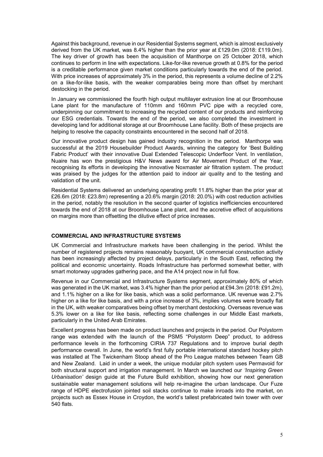Against this background, revenue in our Residential Systems segment, which is almost exclusively derived from the UK market, was 8.4% higher than the prior year at £129.0m (2018: £119.0m). The key driver of growth has been the acquisition of Manthorpe on 25 October 2018, which continues to perform in line with expectations. Like-for-like revenue growth at 0.8% for the period is a creditable performance given market conditions particularly towards the end of the period. With price increases of approximately 3% in the period, this represents a volume decline of 2.2% on a like-for-like basis, with the weaker comparables being more than offset by merchant destocking in the period.

In January we commissioned the fourth high output multilayer extrusion line at our Broomhouse Lane plant for the manufacture of 110mm and 160mm PVC pipe with a recycled core, underpinning our commitment to increasing the recycled content of our products and reinforcing our ESG credentials. Towards the end of the period, we also completed the investment in developing land for additional storage at our Broomhouse Lane facility. Both of these projects are helping to resolve the capacity constraints encountered in the second half of 2018.

Our innovative product design has gained industry recognition in the period. Manthorpe was successful at the 2019 Housebuilder Product Awards, winning the category for 'Best Building Fabric Product' with their innovative Dual Extended Telescopic Underfloor Vent. In ventilation, Nuaire has won the prestigious H&V News award for Air Movement Product of the Year, recognising its efforts in developing the innovative Noxmaster air filtration system. The product was praised by the judges for the attention paid to indoor air quality and to the testing and validation of the unit.

Residential Systems delivered an underlying operating profit 11.8% higher than the prior year at £26.6m (2018: £23.8m) representing a 20.6% margin (2018: 20.0%) with cost reduction activities in the period, notably the resolution in the second quarter of logistics inefficiencies encountered towards the end of 2018 at our Broomhouse Lane plant, and the accretive effect of acquisitions on margins more than offsetting the dilutive effect of price increases.

### **COMMERCIAL AND INFRASTRUCTURE SYSTEMS**

UK Commercial and Infrastructure markets have been challenging in the period. Whilst the number of registered projects remains reasonably buoyant, UK commercial construction activity has been increasingly affected by project delays, particularly in the South East, reflecting the political and economic uncertainty. Roads Infrastructure has performed somewhat better, with smart motorway upgrades gathering pace, and the A14 project now in full flow.

Revenue in our Commercial and Infrastructure Systems segment, approximately 80% of which was generated in the UK market, was 3.4% higher than the prior period at £94.3m (2018: £91.2m), and 1.1% higher on a like for like basis, which was a solid performance. UK revenue was 2.7% higher on a like for like basis, and with a price increase of 3%, implies volumes were broadly flat in the UK, with weaker comparatives being offset by merchant destocking. Overseas revenue was 5.3% lower on a like for like basis, reflecting some challenges in our Middle East markets, particularly in the United Arab Emirates.

Excellent progress has been made on product launches and projects in the period. Our Polystorm range was extended with the launch of the PSM5 "Polystorm Deep" product, to address performance levels in the forthcoming CIRIA 737 Regulations and to improve burial depth performance overall. In June, the world's first fully portable international standard hockey pitch was installed at The Twickenham Stoop ahead of the Pro League matches between Team GB and New Zealand. Laid in under a week, the unique modular pitch system uses Permavoid for both structural support and irrigation management. In March we launched our *'Inspiring Green Urbanisation'* design guide at the Future Build exhibition, showing how our next generation sustainable water management solutions will help re-imagine the urban landscape. Our Fuze range of HDPE electrofusion jointed soil stacks continue to make inroads into the market, on projects such as Essex House in Croydon, the world's tallest prefabricated twin tower with over 540 flats.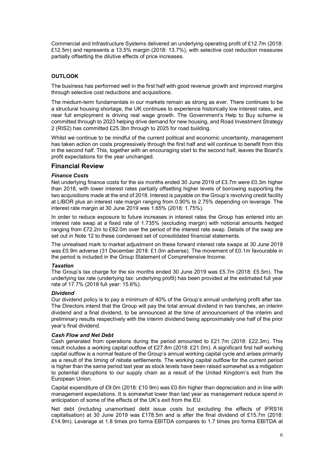Commercial and Infrastructure Systems delivered an underlying operating profit of £12.7m (2018: £12.5m) and represents a 13.5% margin (2018: 13.7%), with selective cost reduction measures partially offsetting the dilutive effects of price increases.

### **OUTLOOK**

The business has performed well in the first half with good revenue growth and improved margins through selective cost reductions and acquisitions.

The medium-term fundamentals in our markets remain as strong as ever. There continues to be a structural housing shortage, the UK continues to experience historically low interest rates, and near full employment is driving real wage growth. The Government's Help to Buy scheme is committed through to 2023 helping drive demand for new housing, and Road Investment Strategy 2 (RIS2) has committed £25.3bn through to 2025 for road building.

Whilst we continue to be mindful of the current political and economic uncertainty, management has taken action on costs progressively through the first half and will continue to benefit from this in the second half. This, together with an encouraging start to the second half, leaves the Board's profit expectations for the year unchanged*.*

## **Financial Review**

### *Finance Costs*

Net underlying finance costs for the six months ended 30 June 2019 of £3.7m were £0.3m higher than 2018, with lower interest rates partially offsetting higher levels of borrowing supporting the two acquisitions made at the end of 2018. Interest is payable on the Group's revolving credit facility at LIBOR plus an interest rate margin ranging from 0.90% to 2.75% depending on leverage. The interest rate margin at 30 June 2019 was 1.65% (2018: 1.75%).

In order to reduce exposure to future increases in interest rates the Group has entered into an interest rate swap at a fixed rate of 1.735% (excluding margin) with notional amounts hedged ranging from £72.2m to £82.0m over the period of the interest rate swap. Details of the swap are set out in Note 12 to these condensed set of consolidated financial statements.

The unrealised mark to market adjustment on these forward interest rate swaps at 30 June 2019 was £0.9m adverse (31 December 2018: £1.0m adverse). The movement of £0.1m favourable in the period is included in the Group Statement of Comprehensive Income.

### *Taxation*

The Group's tax charge for the six months ended 30 June 2019 was £5.7m (2018: £5.5m). The underlying tax rate (underlying tax: underlying profit) has been provided at the estimated full year rate of 17.7% (2018 full year: 15.6%).

### *Dividend*

Our dividend policy is to pay a minimum of 40% of the Group's annual underlying profit after tax. The Directors intend that the Group will pay the total annual dividend in two tranches, an interim dividend and a final dividend, to be announced at the time of announcement of the interim and preliminary results respectively with the interim dividend being approximately one half of the prior year's final dividend.

### *Cash Flow and Net Debt*

Cash generated from operations during the period amounted to £21.7m (2018: £22.3m). This result includes a working capital outflow of £27.8m (2018: £21.0m). A significant first half working capital outflow is a normal feature of the Group's annual working capital cycle and arises primarily as a result of the timing of rebate settlements. The working capital outflow for the current period is higher than the same period last year as stock levels have been raised somewhat as a mitigation to potential disruptions to our supply chain as a result of the United Kingdom's exit from the European Union.

Capital expenditure of £9.0m (2018: £10.9m) was £0.6m higher than depreciation and in line with management expectations. It is somewhat lower than last year as management reduce spend in anticipation of some of the effects of the UK's exit from the EU.

Net debt (including unamortised debt issue costs but excluding the effects of IFRS16 capitalisation) at 30 June 2019 was £178.5m and is after the final dividend of £15.7m (2018: £14.9m). Leverage at 1.8 times pro forma EBITDA compares to 1.7 times pro forma EBITDA at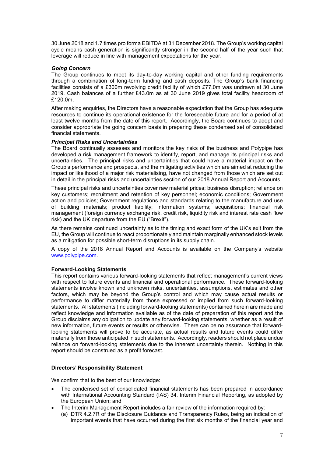30 June 2018 and 1.7 times pro forma EBITDA at 31 December 2018. The Group's working capital cycle means cash generation is significantly stronger in the second half of the year such that leverage will reduce in line with management expectations for the year.

### *Going Concern*

The Group continues to meet its day-to-day working capital and other funding requirements through a combination of long-term funding and cash deposits. The Group's bank financing facilities consists of a £300m revolving credit facility of which £77.0m was undrawn at 30 June 2019. Cash balances of a further £43.0m as at 30 June 2019 gives total facility headroom of £120.0m.

After making enquiries, the Directors have a reasonable expectation that the Group has adequate resources to continue its operational existence for the foreseeable future and for a period of at least twelve months from the date of this report. Accordingly, the Board continues to adopt and consider appropriate the going concern basis in preparing these condensed set of consolidated financial statements.

### *Principal Risks and Uncertainties*

The Board continually assesses and monitors the key risks of the business and Polypipe has developed a risk management framework to identify, report, and manage its principal risks and uncertainties. The principal risks and uncertainties that could have a material impact on the Group's performance and prospects, and the mitigating activities which are aimed at reducing the impact or likelihood of a major risk materialising, have not changed from those which are set out in detail in the principal risks and uncertainties section of our 2018 Annual Report and Accounts.

These principal risks and uncertainties cover raw material prices; business disruption; reliance on key customers; recruitment and retention of key personnel; economic conditions; Government action and policies; Government regulations and standards relating to the manufacture and use of building materials; product liability; information systems; acquisitions; financial risk management (foreign currency exchange risk, credit risk, liquidity risk and interest rate cash flow risk) and the UK departure from the EU ("Brexit").

As there remains continued uncertainty as to the timing and exact form of the UK's exit from the EU, the Group will continue to react proportionately and maintain marginally enhanced stock levels as a mitigation for possible short-term disruptions in its supply chain.

A copy of the 2018 Annual Report and Accounts is available on the Company's website [www.polypipe.com.](http://www.polypipe.com/)

### **Forward-Looking Statements**

This report contains various forward-looking statements that reflect management's current views with respect to future events and financial and operational performance. These forward-looking statements involve known and unknown risks, uncertainties, assumptions, estimates and other factors, which may be beyond the Group's control and which may cause actual results or performance to differ materially from those expressed or implied from such forward-looking statements. All statements (including forward-looking statements) contained herein are made and reflect knowledge and information available as of the date of preparation of this report and the Group disclaims any obligation to update any forward-looking statements, whether as a result of new information, future events or results or otherwise. There can be no assurance that forwardlooking statements will prove to be accurate, as actual results and future events could differ materially from those anticipated in such statements. Accordingly, readers should not place undue reliance on forward-looking statements due to the inherent uncertainty therein. Nothing in this report should be construed as a profit forecast.

### **Directors' Responsibility Statement**

We confirm that to the best of our knowledge:

- The condensed set of consolidated financial statements has been prepared in accordance with International Accounting Standard (IAS) 34, Interim Financial Reporting, as adopted by the European Union; and
- The Interim Management Report includes a fair review of the information required by:
- (a) DTR 4.2.7R of the Disclosure Guidance and Transparency Rules, being an indication of important events that have occurred during the first six months of the financial year and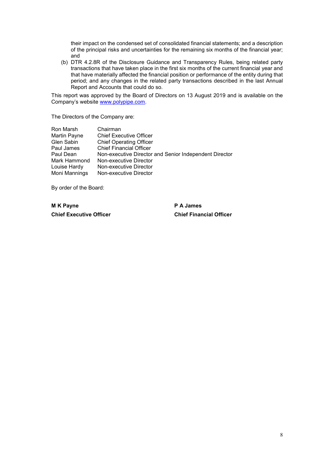their impact on the condensed set of consolidated financial statements; and a description of the principal risks and uncertainties for the remaining six months of the financial year; and

(b) DTR 4.2.8R of the Disclosure Guidance and Transparency Rules, being related party transactions that have taken place in the first six months of the current financial year and that have materially affected the financial position or performance of the entity during that period; and any changes in the related party transactions described in the last Annual Report and Accounts that could do so.

This report was approved by the Board of Directors on 13 August 2019 and is available on the Company's website [www.polypipe.com.](http://www.polypipe.com/)

The Directors of the Company are:

| Chairman                                               |
|--------------------------------------------------------|
| <b>Chief Executive Officer</b>                         |
| <b>Chief Operating Officer</b>                         |
| <b>Chief Financial Officer</b>                         |
| Non-executive Director and Senior Independent Director |
| Non-executive Director                                 |
| Non-executive Director                                 |
| Non-executive Director                                 |
|                                                        |

By order of the Board:

**M K Payne P A James Chief Executive Officer Chief Financial Officer**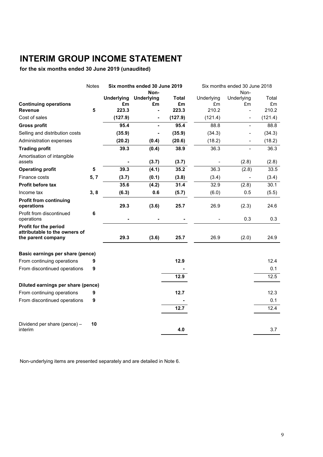# **INTERIM GROUP INCOME STATEMENT**

**for the six months ended 30 June 2019 (unaudited)**

|                                                                              | Notes |                         | Six months ended 30 June 2019 |                    |                  | Six months ended 30 June 2018 |             |
|------------------------------------------------------------------------------|-------|-------------------------|-------------------------------|--------------------|------------------|-------------------------------|-------------|
|                                                                              |       |                         | Non-                          |                    |                  | Non-                          |             |
|                                                                              |       | <b>Underlying</b><br>£m | <b>Underlying</b><br>£m       | <b>Total</b><br>£m | Underlying<br>£m | Underlying<br>£m              | Total<br>£m |
| <b>Continuing operations</b><br><b>Revenue</b>                               | 5     | 223.3                   |                               | 223.3              | 210.2            |                               | 210.2       |
| Cost of sales                                                                |       | (127.9)                 | -                             | (127.9)            | (121.4)          | $\blacksquare$                | (121.4)     |
| <b>Gross profit</b>                                                          |       | 95.4                    | L.                            | 95.4               | 88.8             | $\blacksquare$                | 88.8        |
| Selling and distribution costs                                               |       | (35.9)                  |                               | (35.9)             | (34.3)           |                               | (34.3)      |
| Administration expenses                                                      |       | (20.2)                  | (0.4)                         | (20.6)             | (18.2)           |                               | (18.2)      |
| <b>Trading profit</b>                                                        |       | 39.3                    | (0.4)                         | 38.9               | 36.3             |                               | 36.3        |
| Amortisation of intangible<br>assets                                         |       |                         | (3.7)                         | (3.7)              |                  | (2.8)                         | (2.8)       |
| <b>Operating profit</b>                                                      | 5     | 39.3                    | (4.1)                         | 35.2               | 36.3             | (2.8)                         | 33.5        |
| Finance costs                                                                | 5, 7  | (3.7)                   | (0.1)                         | (3.8)              | (3.4)            |                               | (3.4)       |
| Profit before tax                                                            |       | 35.6                    | (4.2)                         | 31.4               | 32.9             | (2.8)                         | 30.1        |
| Income tax                                                                   | 3,8   | (6.3)                   | 0.6                           | (5.7)              | (6.0)            | 0.5                           | (5.5)       |
| <b>Profit from continuing</b><br>operations                                  |       | 29.3                    | (3.6)                         | 25.7               | 26.9             | (2.3)                         | 24.6        |
| Profit from discontinued<br>operations                                       | 6     |                         |                               |                    |                  | 0.3                           | 0.3         |
| Profit for the period<br>attributable to the owners of<br>the parent company |       | 29.3                    | (3.6)                         | 25.7               | 26.9             | (2.0)                         | 24.9        |
| Basic earnings per share (pence)                                             |       |                         |                               |                    |                  |                               |             |
| From continuing operations                                                   | 9     |                         |                               | 12.9               |                  |                               | 12.4        |
| From discontinued operations                                                 | 9     |                         |                               |                    |                  |                               | 0.1         |
|                                                                              |       |                         |                               | 12.9               |                  |                               | 12.5        |
| Diluted earnings per share (pence)                                           |       |                         |                               |                    |                  |                               |             |
| From continuing operations                                                   | 9     |                         |                               | 12.7               |                  |                               | 12.3        |
| From discontinued operations                                                 | 9     |                         |                               |                    |                  |                               | 0.1         |
|                                                                              |       |                         |                               | 12.7               |                  |                               | 12.4        |
|                                                                              |       |                         |                               |                    |                  |                               |             |
| Dividend per share (pence) -<br>interim                                      | 10    |                         |                               | 4.0                |                  |                               | 3.7         |

Non-underlying items are presented separately and are detailed in Note 6.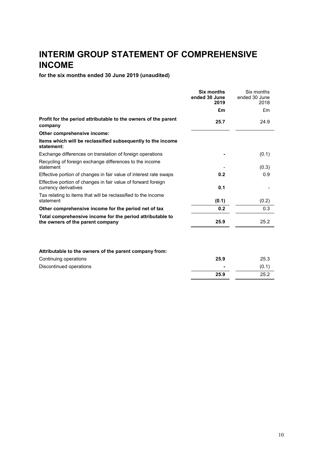# **INTERIM GROUP STATEMENT OF COMPREHENSIVE INCOME**

**for the six months ended 30 June 2019 (unaudited)**

|                                                                                               | <b>Six months</b><br>ended 30 June<br>2019 | Six months<br>ended 30 June<br>2018 |
|-----------------------------------------------------------------------------------------------|--------------------------------------------|-------------------------------------|
|                                                                                               | £m                                         | £m                                  |
| Profit for the period attributable to the owners of the parent<br>company                     | 25.7                                       | 24.9                                |
| Other comprehensive income:                                                                   |                                            |                                     |
| Items which will be reclassified subsequently to the income<br>statement:                     |                                            |                                     |
| Exchange differences on translation of foreign operations                                     |                                            | (0.1)                               |
| Recycling of foreign exchange differences to the income<br>statement                          |                                            | (0.3)                               |
| Effective portion of changes in fair value of interest rate swaps                             | 0.2                                        | 0.9                                 |
| Effective portion of changes in fair value of forward foreign<br>currency derivatives         | 0.1                                        |                                     |
| Tax relating to items that will be reclassified to the income<br>statement                    | (0.1)                                      | (0.2)                               |
| Other comprehensive income for the period net of tax                                          | 0.2                                        | 0.3                                 |
| Total comprehensive income for the period attributable to<br>the owners of the parent company | 25.9                                       | 25.2                                |
| Attributable to the owners of the parent company from:                                        |                                            |                                     |
| Continuing operations                                                                         | 25.9                                       | 25.3                                |
| Discontinued operations                                                                       |                                            | (0.1)                               |
|                                                                                               | 25.9                                       | 25.2                                |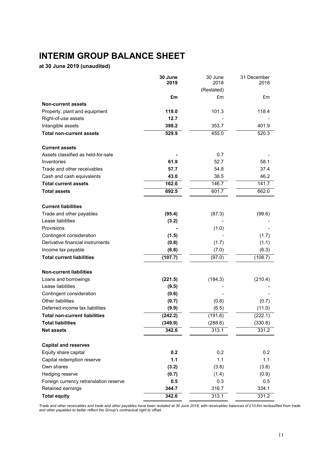# **INTERIM GROUP BALANCE SHEET**

**at 30 June 2019 (unaudited)**

|                                        | 30 June<br>2019 | 30 June<br>2018 | 31 December<br>2018 |
|----------------------------------------|-----------------|-----------------|---------------------|
|                                        |                 | (Restated)      |                     |
|                                        | £m              | £m              | £m                  |
| <b>Non-current assets</b>              |                 |                 |                     |
| Property, plant and equipment          | 119.0           | 101.3           | 118.4               |
| Right-of-use assets                    | 12.7            |                 |                     |
| Intangible assets                      | 398.2           | 353.7           | 401.9               |
| <b>Total non-current assets</b>        | 529.9           | 455.0           | 520.3               |
| <b>Current assets</b>                  |                 |                 |                     |
| Assets classified as held-for-sale     |                 | 0.7             |                     |
| Inventories                            | 61.9            | 52.7            | 58.1                |
| Trade and other receivables            | 57.7            | 54.8            | 37.4                |
| Cash and cash equivalents              | 43.0            | 38.5            | 46.2                |
| <b>Total current assets</b>            | 162.6           | 146.7           | 141.7               |
| <b>Total assets</b>                    | 692.5           | 601.7           | 662.0               |
| <b>Current liabilities</b>             |                 |                 |                     |
| Trade and other payables               | (95.4)          | (87.3)          | (99.6)              |
| Lease liabilities                      | (3.2)           |                 |                     |
| Provisions                             |                 | (1.0)           |                     |
| Contingent consideration               | (1.5)           |                 | (1.7)               |
| Derivative financial instruments       | (0.8)           | (1.7)           | (1.1)               |
| Income tax payable                     | (6.8)           | (7.0)           | (6.3)               |
| <b>Total current liabilities</b>       | (107.7)         | (97.0)          | (108.7)             |
| <b>Non-current liabilities</b>         |                 |                 |                     |
| Loans and borrowings                   | (221.5)         | (184.3)         | (210.4)             |
| Lease liabilities                      | (9.5)           |                 |                     |
| Contingent consideration               | (0.6)           |                 |                     |
| <b>Other liabilities</b>               | (0.7)           | (0.8)           | (0.7)               |
| Deferred income tax liabilities        | (9.9)           | (6.5)           | (11.0)              |
| <b>Total non-current liabilities</b>   | (242.2)         | (191.6)         | (222.1)             |
| <b>Total liabilities</b>               | (349.9)         | (288.6)         | (330.8)             |
| <b>Net assets</b>                      | 342.6           | 313.1           | 331.2               |
| <b>Capital and reserves</b>            |                 |                 |                     |
| Equity share capital                   | 0.2             | 0.2             | 0.2                 |
| Capital redemption reserve             | $1.1$           | 1.1             | 1.1                 |
| Own shares                             | (3.2)           | (3.8)           | (3.8)               |
| Hedging reserve                        | (0.7)           | (1.4)           | (0.9)               |
| Foreign currency retranslation reserve | 0.5             | 0.3             | 0.5                 |
| Retained earnings                      | 344.7           | 316.7           | 334.1               |
| <b>Total equity</b>                    | 342.6           | 313.1           | 331.2               |

*Trade and other receivables and trade and other payables have been restated at 30 June 2018, with receivables balances of £10.6m reclassified from trade and other payables to better reflect the Group's contractual right to offset.*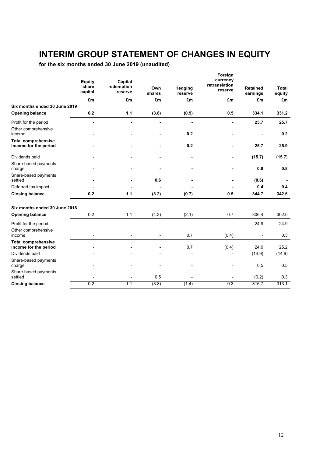# **INTERIM GROUP STATEMENT OF CHANGES IN EQUITY**

**for the six months ended 30 June 2019 (unaudited)**

|                                                     | <b>Equity</b><br>share<br>capital | Capital<br>redemption<br>reserve | Own<br>shares | Hedging<br>reserve | Foreign<br>currency<br>retranslation<br>reserve | <b>Retained</b><br>earnings | Total<br>equity |
|-----------------------------------------------------|-----------------------------------|----------------------------------|---------------|--------------------|-------------------------------------------------|-----------------------------|-----------------|
|                                                     | £m                                | £m                               | £m            | £m                 | £m                                              | £m                          | £m              |
| Six months ended 30 June 2019                       |                                   |                                  |               |                    |                                                 |                             |                 |
| <b>Opening balance</b>                              | 0.2                               | 1.1                              | (3.8)         | (0.9)              | 0.5                                             | 334.1                       | 331.2           |
| Profit for the period                               |                                   |                                  |               | ÷.                 |                                                 | 25.7                        | 25.7            |
| Other comprehensive<br>income                       |                                   |                                  |               | 0.2                | ۰                                               | ٠                           | 0.2             |
| <b>Total comprehensive</b><br>income for the period |                                   |                                  |               | 0.2                |                                                 | 25.7                        | 25.9            |
| Dividends paid                                      |                                   |                                  |               |                    | -                                               | (15.7)                      | (15.7)          |
| Share-based payments<br>charge                      |                                   |                                  |               |                    |                                                 | 0.8                         | 0.8             |
| Share-based payments<br>settled                     |                                   |                                  | 0.6           |                    |                                                 | (0.6)                       |                 |
| Deferred tax impact                                 |                                   |                                  |               |                    |                                                 | 0.4                         | 0.4             |
| <b>Closing balance</b>                              | 0.2                               | 1.1                              | (3.2)         | (0.7)              | 0.5                                             | 344.7                       | 342.6           |
| Six months ended 30 June 2018                       |                                   |                                  |               |                    |                                                 |                             |                 |
| <b>Opening balance</b>                              | 0.2                               | 1.1                              | (4.3)         | (2.1)              | 0.7                                             | 306.4                       | 302.0           |
| Profit for the period                               | $\overline{a}$                    |                                  |               |                    |                                                 | 24.9                        | 24.9            |
| Other comprehensive<br>income                       | $\overline{a}$                    |                                  |               | 0.7                | (0.4)                                           | L,                          | 0.3             |
| <b>Total comprehensive</b><br>income for the period |                                   |                                  |               | 0.7                | (0.4)                                           | 24.9                        | 25.2            |
| Dividends paid                                      |                                   |                                  |               |                    |                                                 | (14.9)                      | (14.9)          |
| Share-based payments<br>charge                      |                                   |                                  |               |                    |                                                 | 0.5                         | 0.5             |
| Share-based payments<br>settled                     |                                   |                                  | 0.5           |                    |                                                 | (0.2)                       | 0.3             |
| <b>Closing balance</b>                              | 0.2                               | 1.1                              | (3.8)         | (1.4)              | 0.3                                             | 316.7                       | 313.1           |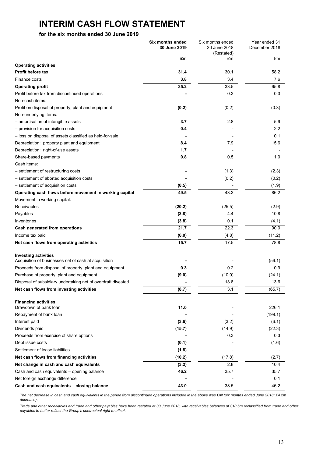# **INTERIM CASH FLOW STATEMENT**

### **for the six months ended 30 June 2019**

|                                                              | Six months ended<br>30 June 2019 | Six months ended<br>30 June 2018 | Year ended 31<br>December 2018 |
|--------------------------------------------------------------|----------------------------------|----------------------------------|--------------------------------|
|                                                              |                                  | (Restated)                       |                                |
|                                                              | £m                               | £m                               | £m                             |
| <b>Operating activities</b>                                  |                                  |                                  |                                |
| Profit before tax                                            | 31.4                             | 30.1                             | 58.2                           |
| Finance costs                                                | 3.8                              | 3.4                              | 7.6                            |
| <b>Operating profit</b>                                      | 35.2                             | 33.5                             | 65.8                           |
| Profit before tax from discontinued operations               |                                  | 0.3                              | 0.3                            |
| Non-cash items:                                              |                                  |                                  |                                |
| Profit on disposal of property, plant and equipment          | (0.2)                            | (0.2)                            | (0.3)                          |
| Non-underlying items:                                        |                                  |                                  |                                |
| - amortisation of intangible assets                          | 3.7                              | 2.8                              | 5.9                            |
| - provision for acquisition costs                            | 0.4                              |                                  | 2.2                            |
| - loss on disposal of assets classified as held-for-sale     |                                  |                                  | 0.1                            |
| Depreciation: property plant and equipment                   | 8.4                              | 7.9                              | 15.6                           |
| Depreciation: right-of-use assets                            | 1.7                              |                                  |                                |
| Share-based payments                                         | 0.8                              | 0.5                              | 1.0                            |
| Cash items:                                                  |                                  |                                  |                                |
| - settlement of restructuring costs                          |                                  | (1.3)                            | (2.3)                          |
| - settlement of aborted acquisition costs                    |                                  | (0.2)                            | (0.2)                          |
| - settlement of acquisition costs                            | (0.5)                            |                                  | (1.9)                          |
| Operating cash flows before movement in working capital      | 49.5                             | 43.3                             | 86.2                           |
| Movement in working capital:                                 |                                  |                                  |                                |
| Receivables                                                  | (20.2)                           | (25.5)                           | (2.9)                          |
| Payables                                                     | (3.8)                            | 4.4                              | 10.8                           |
| Inventories                                                  | (3.8)                            | 0.1                              | (4.1)                          |
| Cash generated from operations                               | 21.7                             | 22.3                             | 90.0                           |
| Income tax paid                                              | (6.0)                            | (4.8)                            | (11.2)                         |
| Net cash flows from operating activities                     | 15.7                             | 17.5                             | 78.8                           |
| <b>Investing activities</b>                                  |                                  |                                  |                                |
| Acquisition of businesses net of cash at acquisition         |                                  |                                  | (56.1)                         |
| Proceeds from disposal of property, plant and equipment      | 0.3                              | 0.2                              | 0.9                            |
| Purchase of property, plant and equipment                    | (9.0)                            | (10.9)                           | (24.1)                         |
| Disposal of subsidiary undertaking net of overdraft divested |                                  | 13.8                             | 13.6                           |
| Net cash flows from investing activities                     | (8.7)                            | 3.1                              | (65.7)                         |
|                                                              |                                  |                                  |                                |
| <b>Financing activities</b><br>Drawdown of bank loan         | 11.0                             |                                  | 226.1                          |
| Repayment of bank loan                                       |                                  |                                  | (199.1)                        |
| Interest paid                                                | (3.6)                            | (3.2)                            | (6.1)                          |
| Dividends paid                                               | (15.7)                           | (14.9)                           | (22.3)                         |
| Proceeds from exercise of share options                      |                                  | 0.3                              | 0.3                            |
| Debt issue costs                                             | (0.1)                            |                                  | (1.6)                          |
| Settlement of lease liabilities                              | (1.8)                            |                                  |                                |
| Net cash flows from financing activities                     | (10.2)                           | (17.8)                           | (2.7)                          |
| Net change in cash and cash equivalents                      | (3.2)                            | 2.8                              | 10.4                           |
| Cash and cash equivalents - opening balance                  | 46.2                             | 35.7                             | 35.7                           |
| Net foreign exchange difference                              |                                  |                                  | 0.1                            |
| Cash and cash equivalents - closing balance                  | 43.0                             | 38.5                             | 46.2                           |
|                                                              |                                  |                                  |                                |

*The net decrease in cash and cash equivalents in the period from discontinued operations included in the above was £nil (six months ended June 2018: £4.2m decrease).*

*Trade and other receivables and trade and other payables have been restated at 30 June 2018, with receivables balances of £10.6m reclassified from trade and other payables to better reflect the Group's contractual right to offset.*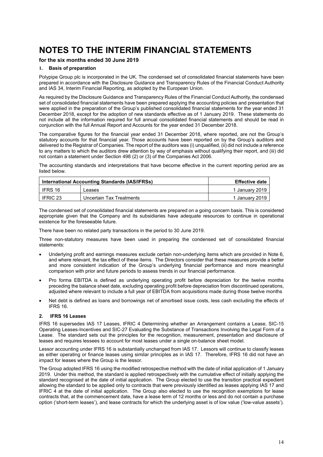### **for the six months ended 30 June 2019**

### **1. Basis of preparation**

Polypipe Group plc is incorporated in the UK. The condensed set of consolidated financial statements have been prepared in accordance with the Disclosure Guidance and Transparency Rules of the Financial Conduct Authority and IAS 34, Interim Financial Reporting, as adopted by the European Union.

As required by the Disclosure Guidance and Transparency Rules of the Financial Conduct Authority, the condensed set of consolidated financial statements have been prepared applying the accounting policies and presentation that were applied in the preparation of the Group's published consolidated financial statements for the year ended 31 December 2018, except for the adoption of new standards effective as of 1 January 2019. These statements do not include all the information required for full annual consolidated financial statements and should be read in conjunction with the full Annual Report and Accounts for the year ended 31 December 2018.

The comparative figures for the financial year ended 31 December 2018, where reported, are not the Group's statutory accounts for that financial year. Those accounts have been reported on by the Group's auditors and delivered to the Registrar of Companies. The report of the auditors was (i) unqualified, (ii) did not include a reference to any matters to which the auditors drew attention by way of emphasis without qualifying their report, and (iii) did not contain a statement under Section 498 (2) or (3) of the Companies Act 2006.

The accounting standards and interpretations that have become effective in the current reporting period are as listed below.

| International Accounting Standards (IAS/IFRSs) | <b>Effective date</b>    |                |
|------------------------------------------------|--------------------------|----------------|
| IFRS 16                                        | Leases                   | 1 January 2019 |
| IFRIC 23                                       | Uncertain Tax Treatments | 1 January 2019 |

The condensed set of consolidated financial statements are prepared on a going concern basis. This is considered appropriate given that the Company and its subsidiaries have adequate resources to continue in operational existence for the foreseeable future.

There have been no related party transactions in the period to 30 June 2019.

Three non-statutory measures have been used in preparing the condensed set of consolidated financial statements:

- Underlying profit and earnings measures exclude certain non-underlying items which are provided in Note 6, and where relevant, the tax effect of these items. The Directors consider that these measures provide a better and more consistent indication of the Group's underlying financial performance and more meaningful comparison with prior and future periods to assess trends in our financial performance.
- Pro forma EBITDA is defined as underlying operating profit before depreciation for the twelve months preceding the balance sheet date, excluding operating profit before depreciation from discontinued operations, adjusted where relevant to include a full year of EBITDA from acquisitions made during those twelve months
- Net debt is defined as loans and borrowings net of amortised issue costs, less cash excluding the effects of IFRS 16.

### **2. IFRS 16 Leases**

IFRS 16 supersedes IAS 17 Leases, IFRIC 4 Determining whether an Arrangement contains a Lease, SIC-15 Operating Leases-Incentives and SIC-27 Evaluating the Substance of Transactions Involving the Legal Form of a Lease. The standard sets out the principles for the recognition, measurement, presentation and disclosure of leases and requires lessees to account for most leases under a single on-balance sheet model.

Lessor accounting under IFRS 16 is substantially unchanged from IAS 17. Lessors will continue to classify leases as either operating or finance leases using similar principles as in IAS 17. Therefore, IFRS 16 did not have an impact for leases where the Group is the lessor.

The Group adopted IFRS 16 using the modified retrospective method with the date of initial application of 1 January 2019. Under this method, the standard is applied retrospectively with the cumulative effect of initially applying the standard recognised at the date of initial application. The Group elected to use the transition practical expedient allowing the standard to be applied only to contracts that were previously identified as leases applying IAS 17 and IFRIC 4 at the date of initial application. The Group also elected to use the recognition exemptions for lease contracts that, at the commencement date, have a lease term of 12 months or less and do not contain a purchase option ('short-term leases'), and lease contracts for which the underlying asset is of low value ('low-value assets').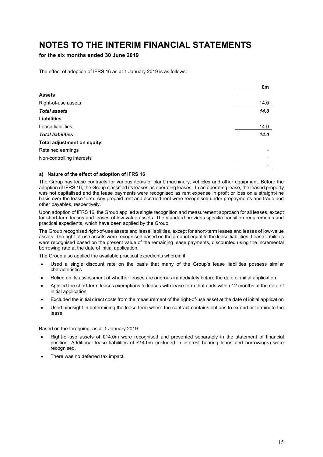**for the six months ended 30 June 2019**

The effect of adoption of IFRS 16 as at 1 January 2019 is as follows:

|                             | £m   |
|-----------------------------|------|
| Assets                      |      |
| Right-of-use assets         | 14.0 |
| <b>Total assets</b>         | 14.0 |
| <b>Liabilities</b>          |      |
| Lease liabilities           | 14.0 |
| <b>Total liabilities</b>    | 14.0 |
| Total adjustment on equity: |      |
| Retained earnings           |      |
| Non-controlling interests   |      |
|                             |      |

### **a) Nature of the effect of adoption of IFRS 16**

The Group has lease contracts for various items of plant, machinery, vehicles and other equipment. Before the adoption of IFRS 16, the Group classified its leases as operating leases. In an operating lease, the leased property was not capitalised and the lease payments were recognised as rent expense in profit or loss on a straight-line basis over the lease term. Any prepaid rent and accrued rent were recognised under prepayments and trade and other payables, respectively.

Upon adoption of IFRS 16, the Group applied a single recognition and measurement approach for all leases, except for short-term leases and leases of low-value assets. The standard provides specific transition requirements and practical expedients, which have been applied by the Group.

The Group recognised right-of-use assets and lease liabilities, except for short-term leases and leases of low-value assets. The right-of-use assets were recognised based on the amount equal to the lease liabilities. Lease liabilities were recognised based on the present value of the remaining lease payments, discounted using the incremental borrowing rate at the date of initial application.

The Group also applied the available practical expedients wherein it:

- Used a single discount rate on the basis that many of the Group's lease liabilities possess similar characteristics
- Relied on its assessment of whether leases are onerous immediately before the date of initial application
- Applied the short-term leases exemptions to leases with lease term that ends within 12 months at the date of initial application
- Excluded the initial direct costs from the measurement of the right-of-use asset at the date of initial application
- Used hindsight in determining the lease term where the contract contains options to extend or terminate the lease

Based on the foregoing, as at 1 January 2019:

- Right-of-use assets of £14.0m were recognised and presented separately in the statement of financial position. Additional lease liabilities of £14.0m (included in interest bearing loans and borrowings) were recognised.
- There was no deferred tax impact.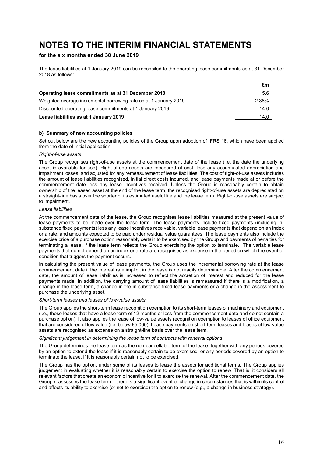### **for the six months ended 30 June 2019**

The lease liabilities at 1 January 2019 can be reconciled to the operating lease commitments as at 31 December 2018 as follows:

|                                                                  | £m    |
|------------------------------------------------------------------|-------|
| Operating lease commitments as at 31 December 2018               | 15.6  |
| Weighted average incremental borrowing rate as at 1 January 2019 | 2.38% |
| Discounted operating lease commitments at 1 January 2019         | 14.0  |
| Lease liabilities as at 1 January 2019                           | 14.0  |

### **b) Summary of new accounting policies**

Set out below are the new accounting policies of the Group upon adoption of IFRS 16, which have been applied from the date of initial application:

### *Right-of-use assets*

The Group recognises right-of-use assets at the commencement date of the lease (i.e. the date the underlying asset is available for use). Right-of-use assets are measured at cost, less any accumulated depreciation and impairment losses, and adjusted for any remeasurement of lease liabilities. The cost of right-of-use assets includes the amount of lease liabilities recognised, initial direct costs incurred, and lease payments made at or before the commencement date less any lease incentives received. Unless the Group is reasonably certain to obtain ownership of the leased asset at the end of the lease term, the recognised right-of-use assets are depreciated on a straight-line basis over the shorter of its estimated useful life and the lease term. Right-of-use assets are subject to impairment.

#### *Lease liabilities*

At the commencement date of the lease, the Group recognises lease liabilities measured at the present value of lease payments to be made over the lease term. The lease payments include fixed payments (including insubstance fixed payments) less any lease incentives receivable, variable lease payments that depend on an index or a rate, and amounts expected to be paid under residual value guarantees. The lease payments also include the exercise price of a purchase option reasonably certain to be exercised by the Group and payments of penalties for terminating a lease, if the lease term reflects the Group exercising the option to terminate. The variable lease payments that do not depend on an index or a rate are recognised as expense in the period on which the event or condition that triggers the payment occurs.

In calculating the present value of lease payments, the Group uses the incremental borrowing rate at the lease commencement date if the interest rate implicit in the lease is not readily determinable. After the commencement date, the amount of lease liabilities is increased to reflect the accretion of interest and reduced for the lease payments made. In addition, the carrying amount of lease liabilities is remeasured if there is a modification, a change in the lease term, a change in the in-substance fixed lease payments or a change in the assessment to purchase the underlying asset.

### *Short-term leases and leases of low-value assets*

The Group applies the short-term lease recognition exemption to its short-term leases of machinery and equipment (i.e., those leases that have a lease term of 12 months or less from the commencement date and do not contain a purchase option). It also applies the lease of low-value assets recognition exemption to leases of office equipment that are considered of low value (i.e. below £5,000). Lease payments on short-term leases and leases of low-value assets are recognised as expense on a straight-line basis over the lease term.

#### *Significant judgement in determining the lease term of contracts with renewal options*

The Group determines the lease term as the non-cancellable term of the lease, together with any periods covered by an option to extend the lease if it is reasonably certain to be exercised, or any periods covered by an option to terminate the lease, if it is reasonably certain not to be exercised.

The Group has the option, under some of its leases to lease the assets for additional terms. The Group applies judgement in evaluating whether it is reasonably certain to exercise the option to renew. That is, it considers all relevant factors that create an economic incentive for it to exercise the renewal. After the commencement date, the Group reassesses the lease term if there is a significant event or change in circumstances that is within its control and affects its ability to exercise (or not to exercise) the option to renew (e.g., a change in business strategy).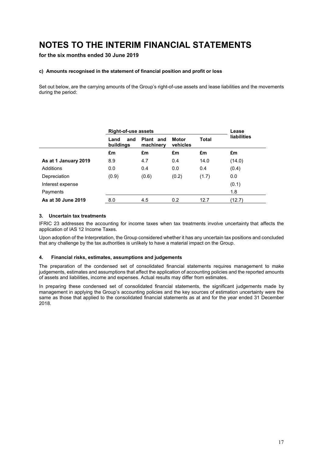**for the six months ended 30 June 2019**

### **c) Amounts recognised in the statement of financial position and profit or loss**

Set out below, are the carrying amounts of the Group's right-of-use assets and lease liabilities and the movements during the period:

|                      | <b>Right-of-use assets</b> |                        |                          | Lease        |                    |
|----------------------|----------------------------|------------------------|--------------------------|--------------|--------------------|
|                      | Land<br>and<br>buildings   | Plant and<br>machinery | <b>Motor</b><br>vehicles | <b>Total</b> | <b>liabilities</b> |
|                      | £m                         | £m                     | £m                       | £m           | £m                 |
| As at 1 January 2019 | 8.9                        | 4.7                    | 0.4                      | 14.0         | (14.0)             |
| Additions            | 0.0                        | 0.4                    | 0.0                      | 0.4          | (0.4)              |
| Depreciation         | (0.9)                      | (0.6)                  | (0.2)                    | (1.7)        | 0.0                |
| Interest expense     |                            |                        |                          |              | (0.1)              |
| Payments             |                            |                        |                          |              | 1.8                |
| As at 30 June 2019   | 8.0                        | 4.5                    | 0.2                      | 12.7         | (12.7)             |

### **3. Uncertain tax treatments**

IFRIC 23 addresses the accounting for income taxes when tax treatments involve uncertainty that affects the application of IAS 12 Income Taxes.

Upon adoption of the Interpretation, the Group considered whether it has any uncertain tax positions and concluded that any challenge by the tax authorities is unlikely to have a material impact on the Group.

#### **4. Financial risks, estimates, assumptions and judgements**

The preparation of the condensed set of consolidated financial statements requires management to make judgements, estimates and assumptions that affect the application of accounting policies and the reported amounts of assets and liabilities, income and expenses. Actual results may differ from estimates.

In preparing these condensed set of consolidated financial statements, the significant judgements made by management in applying the Group's accounting policies and the key sources of estimation uncertainty were the same as those that applied to the consolidated financial statements as at and for the year ended 31 December 2018.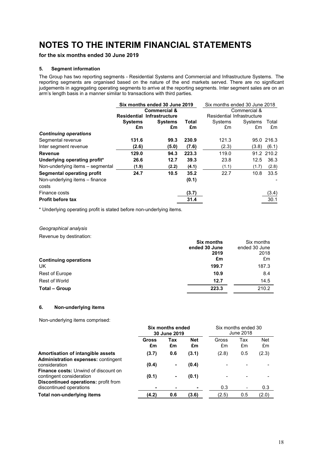**for the six months ended 30 June 2019**

### **5. Segment information**

The Group has two reporting segments - Residential Systems and Commercial and Infrastructure Systems. The reporting segments are organised based on the nature of the end markets served. There are no significant judgements in aggregating operating segments to arrive at the reporting segments. Inter segment sales are on an arm's length basis in a manner similar to transactions with third parties.

|                                         | Six months ended 30 June 2019 |                                   | Six months ended 30 June 2018 |                            |              |            |
|-----------------------------------------|-------------------------------|-----------------------------------|-------------------------------|----------------------------|--------------|------------|
|                                         | <b>Commercial &amp;</b>       |                                   |                               |                            | Commercial & |            |
|                                         |                               | <b>Residential Infrastructure</b> |                               | Residential Infrastructure |              |            |
|                                         | <b>Systems</b>                | <b>Systems</b>                    | Total                         | Systems                    | Systems      | Total      |
|                                         | £m                            | £m                                | £m                            | £m                         | £m           | £m         |
| <b>Continuing operations</b>            |                               |                                   |                               |                            |              |            |
| Segmental revenue                       | 131.6                         | 99.3                              | 230.9                         | 121.3                      |              | 95.0 216.3 |
| Inter segment revenue                   | (2.6)                         | (5.0)                             | (7.6)                         | (2.3)                      | (3.8)        | (6.1)      |
| Revenue                                 | 129.0                         | 94.3                              | 223.3                         | 119.0                      |              | 91.2 210.2 |
| Underlying operating profit*            | 26.6                          | 12.7                              | 39.3                          | 23.8                       | 12.5         | 36.3       |
| Non-underlying items – segmental        | (1.9)                         | (2.2)                             | (4.1)                         | (1.1)                      | (1.7)        | (2.8)      |
| <b>Segmental operating profit</b>       | 24.7                          | 10.5                              | 35.2                          | 22.7                       | 10.8         | 33.5       |
| Non-underlying items - finance<br>costs |                               |                                   | (0.1)                         |                            |              |            |
| Finance costs                           |                               |                                   | (3.7)                         |                            |              | (3.4)      |
| <b>Profit before tax</b>                |                               |                                   | 31.4                          |                            |              | 30.1       |

\* Underlying operating profit is stated before non-underlying items.

### *Geographical analysis*

Revenue by destination:

| <b>Six months</b><br>Six months    |       |
|------------------------------------|-------|
| ended 30 June<br>ended 30 June     |       |
| 2019                               | 2018  |
| £m<br><b>Continuing operations</b> | £m    |
| UK<br>199.7                        | 187.3 |
| Rest of Europe<br>10.9             | 8.4   |
| Rest of World<br>12.7              | 14.5  |
| 223.3<br><b>Total - Group</b>      | 210.2 |

### **6. Non-underlying items**

Non-underlying items comprised:

|                                                                                                  | Six months ended<br>30 June 2019 |                       | Six months ended 30<br>June 2018 |             |                          |                  |
|--------------------------------------------------------------------------------------------------|----------------------------------|-----------------------|----------------------------------|-------------|--------------------------|------------------|
|                                                                                                  | Gross<br>£m                      | Tax<br>£m             | <b>Net</b><br>£m                 | Gross<br>£m | Tax<br>£m                | <b>Net</b><br>£m |
| Amortisation of intangible assets<br><b>Administration expenses: contingent</b><br>consideration | (3.7)<br>(0.4)                   | 0.6<br>$\blacksquare$ | (3.1)<br>(0.4)                   | (2.8)       | 0.5                      | (2.3)            |
| <b>Finance costs:</b> Unwind of discount on<br>contingent consideration                          | (0.1)                            | ۰                     | (0.1)                            |             |                          |                  |
| <b>Discontinued operations: profit from</b><br>discontinued operations                           |                                  |                       | ٠                                | 0.3         | $\overline{\phantom{a}}$ | 0.3              |
| Total non-underlying items                                                                       | (4.2)                            | 0.6                   | (3.6)                            | (2.5)       | 0.5                      | (2.0)            |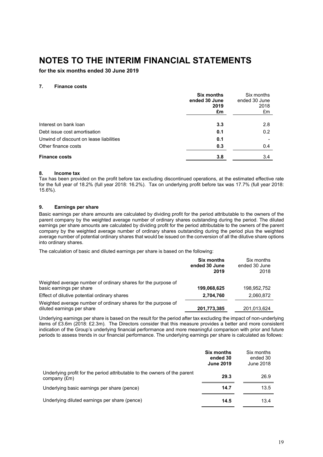**for the six months ended 30 June 2019**

### **7. Finance costs**

|                                         | <b>Six months</b><br>ended 30 June<br>2019<br>£m | Six months<br>ended 30 June<br>2018<br>£m |
|-----------------------------------------|--------------------------------------------------|-------------------------------------------|
| Interest on bank loan                   | 3.3                                              | 2.8                                       |
| Debt issue cost amortisation            | 0.1                                              | 0.2                                       |
| Unwind of discount on lease liabilities | 0.1                                              |                                           |
| Other finance costs                     | 0.3                                              | 0.4                                       |
| <b>Finance costs</b>                    | 3.8                                              | 3.4                                       |

### **8. Income tax**

Tax has been provided on the profit before tax excluding discontinued operations, at the estimated effective rate for the full year of 18.2% (full year 2018: 16.2%). Tax on underlying profit before tax was 17.7% (full year 2018: 15.6%).

### **9. Earnings per share**

Basic earnings per share amounts are calculated by dividing profit for the period attributable to the owners of the parent company by the weighted average number of ordinary shares outstanding during the period. The diluted earnings per share amounts are calculated by dividing profit for the period attributable to the owners of the parent company by the weighted average number of ordinary shares outstanding during the period plus the weighted average number of potential ordinary shares that would be issued on the conversion of all the dilutive share options into ordinary shares.

The calculation of basic and diluted earnings per share is based on the following:

|                                                                                             | <b>Six months</b><br>ended 30 June<br>2019 | Six months<br>ended 30 June<br>2018 |
|---------------------------------------------------------------------------------------------|--------------------------------------------|-------------------------------------|
| Weighted average number of ordinary shares for the purpose of<br>basic earnings per share   | 199,068,625                                | 198.952.752                         |
| Effect of dilutive potential ordinary shares                                                | 2,704,760                                  | 2,060,872                           |
| Weighted average number of ordinary shares for the purpose of<br>diluted earnings per share | 201,773,385                                | 201,013,624                         |

Underlying earnings per share is based on the result for the period after tax excluding the impact of non-underlying items of £3.6m (2018: £2.3m). The Directors consider that this measure provides a better and more consistent indication of the Group's underlying financial performance and more meaningful comparison with prior and future periods to assess trends in our financial performance. The underlying earnings per share is calculated as follows:

|                                                                                           | <b>Six months</b><br>ended 30<br><b>June 2019</b> | Six months<br>ended 30<br>June 2018 |
|-------------------------------------------------------------------------------------------|---------------------------------------------------|-------------------------------------|
| Underlying profit for the period attributable to the owners of the parent<br>company (£m) | 29.3                                              | 26.9                                |
| Underlying basic earnings per share (pence)                                               | 14.7                                              | 13.5                                |
| Underlying diluted earnings per share (pence)                                             | 14.5                                              | 13.4                                |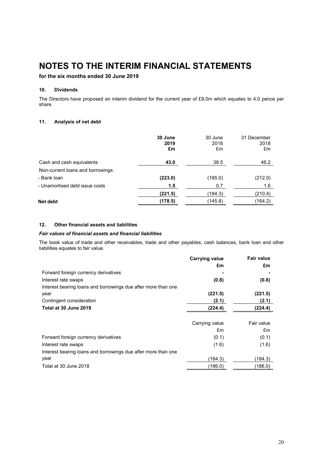## **for the six months ended 30 June 2019**

### **10. Dividends**

The Directors have proposed an interim dividend for the current year of £8.0m which equates to 4.0 pence per share.

### **11. Analysis of net debt**

|                                   | 30 June<br>2019<br>£m | 30 June<br>2018<br>£m | 31 December<br>2018<br>£m |
|-----------------------------------|-----------------------|-----------------------|---------------------------|
| Cash and cash equivalents         | 43.0                  | 38.5                  | 46.2                      |
| Non-current loans and borrowings: |                       |                       |                           |
| - Bank loan                       | (223.0)               | (185.0)               | (212.0)                   |
| - Unamortised debt issue costs    | 1.5                   | 0.7                   | 1.6                       |
|                                   | (221.5)               | (184.3)               | (210.4)                   |
| Net debt                          | (178.5)               | (145.8)               | (164.2)                   |
|                                   |                       |                       |                           |

### **12. Other financial assets and liabilities**

#### *Fair values of financial assets and financial liabilities*

The book value of trade and other receivables, trade and other payables, cash balances, bank loan and other liabilities equates to fair value.

|                                                               | <b>Carrying value</b> | <b>Fair value</b> |
|---------------------------------------------------------------|-----------------------|-------------------|
|                                                               | £m                    | £m                |
| Forward foreign currency derivatives                          |                       |                   |
| Interest rate swaps                                           | (0.8)                 | (0.8)             |
| Interest bearing loans and borrowings due after more than one |                       |                   |
| year                                                          | (221.5)               | (221.5)           |
| Contingent consideration                                      | (2.1)                 | (2.1)             |
| Total at 30 June 2019                                         | (224.4)               | (224.4)           |
|                                                               |                       |                   |
|                                                               | Carrying value        | Fair value        |
|                                                               | £m                    | £m                |
| Forward foreign currency derivatives                          | (0.1)                 | (0.1)             |
| Interest rate swaps                                           | (1.6)                 | (1.6)             |
| Interest bearing loans and borrowings due after more than one |                       |                   |
| year                                                          | (184.3)               | (184.3)           |
| Total at 30 June 2018                                         | (186.0)               | (186.0)           |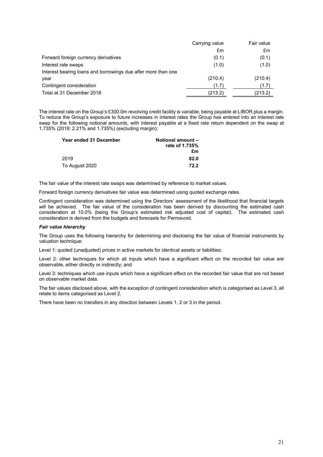|                                                               | Carrying value | Fair value |
|---------------------------------------------------------------|----------------|------------|
|                                                               | £m             | £m         |
| Forward foreign currency derivatives                          | (0.1)          | (0.1)      |
| Interest rate swaps                                           | (1.0)          | (1.0)      |
| Interest bearing loans and borrowings due after more than one |                |            |
| year                                                          | (210.4)        | (210.4)    |
| Contingent consideration                                      | (1.7)          | (1.7)      |
| Total at 31 December 2018                                     | (213.2)        | (213.2)    |

The interest rate on the Group's £300.0m revolving credit facility is variable, being payable at LIBOR plus a margin. To reduce the Group's exposure to future increases in interest rates the Group has entered into an interest rate swap for the following notional amounts, with interest payable at a fixed rate return dependent on the swap at 1.735% (2018: 2.21% and 1.735%) (excluding margin):

| Year ended 31 December | <b>Notional amount -</b><br>rate of 1.735% |
|------------------------|--------------------------------------------|
|                        | £m                                         |
| 2019                   | 82.0                                       |
| To August 2020         | 72.2                                       |

The fair value of the interest rate swaps was determined by reference to market values.

Forward foreign currency derivatives fair value was determined using quoted exchange rates.

Contingent consideration was determined using the Directors' assessment of the likelihood that financial targets will be achieved. The fair value of the consideration has been derived by discounting the estimated cash consideration at 10.0% (being the Group's estimated risk adjusted cost of capital). The estimated cash consideration is derived from the budgets and forecasts for Permavoid.

#### *Fair value hierarchy*

The Group uses the following hierarchy for determining and disclosing the fair value of financial instruments by valuation technique:

Level 1: quoted (unadjusted) prices in active markets for identical assets or liabilities;

Level 2: other techniques for which all inputs which have a significant effect on the recorded fair value are observable, either directly or indirectly; and

Level 3: techniques which use inputs which have a significant effect on the recorded fair value that are not based on observable market data.

The fair values disclosed above, with the exception of contingent consideration which is categorised as Level 3, all relate to items categorised as Level 2.

There have been no transfers in any direction between Levels 1, 2 or 3 in the period.